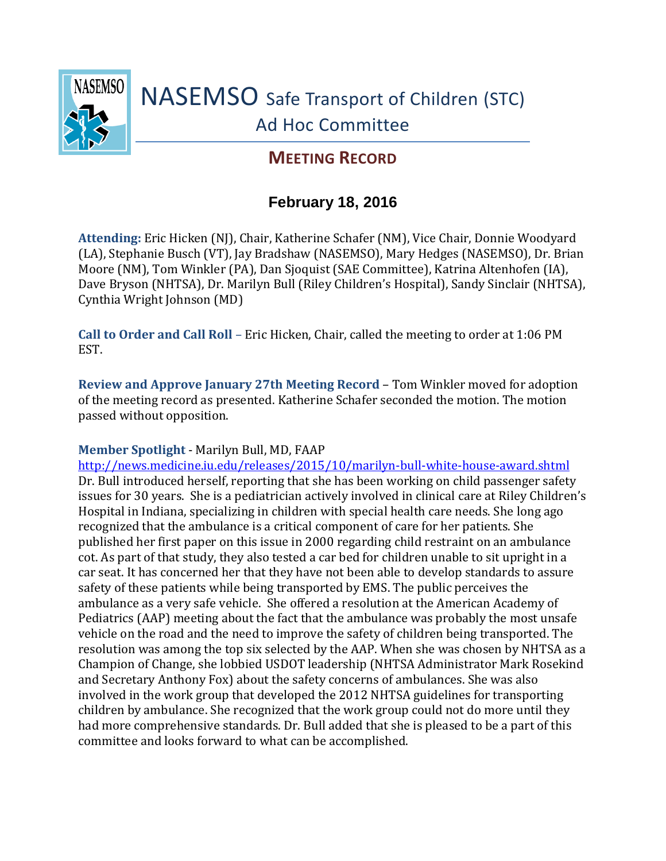

## **MEETING RECORD**

## **February 18, 2016**

**Attending:** Eric Hicken (NJ), Chair, Katherine Schafer (NM), Vice Chair, Donnie Woodyard (LA), Stephanie Busch (VT), Jay Bradshaw (NASEMSO), Mary Hedges (NASEMSO), Dr. Brian Moore (NM), Tom Winkler (PA), Dan Sjoquist (SAE Committee), Katrina Altenhofen (IA), Dave Bryson (NHTSA), Dr. Marilyn Bull (Riley Children's Hospital), Sandy Sinclair (NHTSA), Cynthia Wright Johnson (MD)

**Call to Order and Call Roll** – Eric Hicken, Chair, called the meeting to order at 1:06 PM EST.

**Review and Approve January 27th Meeting Record** – Tom Winkler moved for adoption of the meeting record as presented. Katherine Schafer seconded the motion. The motion passed without opposition.

## **Member Spotlight** - Marilyn Bull, MD, FAAP

<http://news.medicine.iu.edu/releases/2015/10/marilyn-bull-white-house-award.shtml> Dr. Bull introduced herself, reporting that she has been working on child passenger safety issues for 30 years. She is a pediatrician actively involved in clinical care at Riley Children's Hospital in Indiana, specializing in children with special health care needs. She long ago recognized that the ambulance is a critical component of care for her patients. She published her first paper on this issue in 2000 regarding child restraint on an ambulance cot. As part of that study, they also tested a car bed for children unable to sit upright in a car seat. It has concerned her that they have not been able to develop standards to assure safety of these patients while being transported by EMS. The public perceives the ambulance as a very safe vehicle. She offered a resolution at the American Academy of Pediatrics (AAP) meeting about the fact that the ambulance was probably the most unsafe vehicle on the road and the need to improve the safety of children being transported. The resolution was among the top six selected by the AAP. When she was chosen by NHTSA as a Champion of Change, she lobbied USDOT leadership (NHTSA Administrator Mark Rosekind and Secretary Anthony Fox) about the safety concerns of ambulances. She was also involved in the work group that developed the 2012 NHTSA guidelines for transporting children by ambulance. She recognized that the work group could not do more until they had more comprehensive standards. Dr. Bull added that she is pleased to be a part of this committee and looks forward to what can be accomplished.